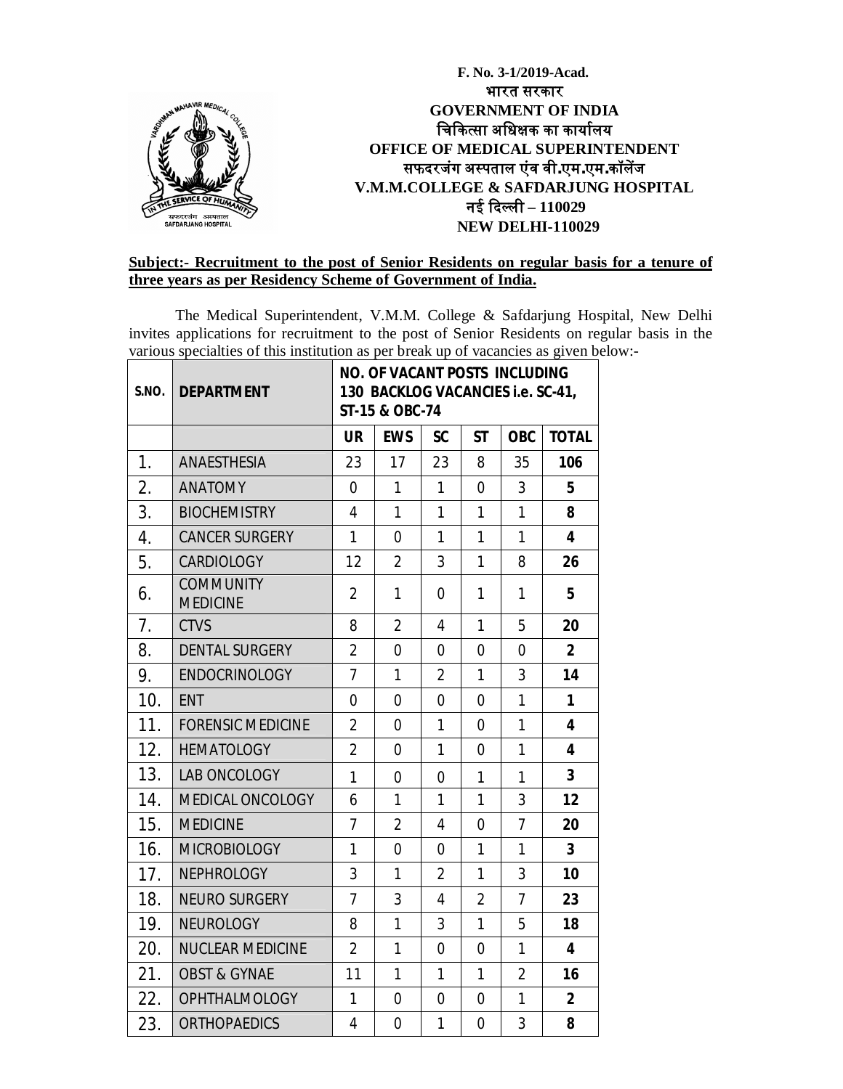

### **Subject:- Recruitment to the post of Senior Residents on regular basis for a tenure of three years as per Residency Scheme of Government of India.**

The Medical Superintendent, V.M.M. College & Safdarjung Hospital, New Delhi invites applications for recruitment to the post of Senior Residents on regular basis in the various specialties of this institution as per break up of vacancies as given below:-

| S.NO. | <b>DEPARTMENT</b>                   | <b>NO. OF VACANT POSTS INCLUDING</b><br>130 BACKLOG VACANCIES i.e. SC-41,<br>ST-15 & OBC-74 |                |                |                |                |                         |
|-------|-------------------------------------|---------------------------------------------------------------------------------------------|----------------|----------------|----------------|----------------|-------------------------|
|       |                                     | <b>UR</b>                                                                                   | <b>EWS</b>     | <b>SC</b>      | <b>ST</b>      | <b>OBC</b>     | <b>TOTAL</b>            |
| 1.    | ANAESTHESIA                         | 23                                                                                          | 17             | 23             | 8              | 35             | 106                     |
| 2.    | <b>ANATOMY</b>                      | $\overline{0}$                                                                              | $\mathbf{1}$   | $\mathbf{1}$   | 0              | $\mathfrak{Z}$ | 5                       |
| 3.    | <b>BIOCHEMISTRY</b>                 | 4                                                                                           | 1              | 1              | 1              | $\mathbf{1}$   | 8                       |
| 4.    | <b>CANCER SURGERY</b>               | 1                                                                                           | 0              | 1              | 1              | $\mathbf{1}$   | 4                       |
| 5.    | CARDIOLOGY                          | 12                                                                                          | $\overline{2}$ | 3              | 1              | 8              | 26                      |
| 6.    | <b>COMMUNITY</b><br><b>MEDICINE</b> | $\overline{2}$                                                                              | 1              | $\overline{0}$ | 1              | 1              | 5                       |
| 7.    | <b>CTVS</b>                         | 8                                                                                           | $\overline{2}$ | 4              | 1              | 5              | 20                      |
| 8.    | <b>DENTAL SURGERY</b>               | $\overline{2}$                                                                              | $\overline{0}$ | 0              | 0              | $\overline{0}$ | $\overline{2}$          |
| 9.    | <b>ENDOCRINOLOGY</b>                | 7                                                                                           | 1              | $\overline{2}$ | 1              | 3              | 14                      |
| 10.   | <b>ENT</b>                          | $\overline{0}$                                                                              | $\overline{0}$ | 0              | $\overline{0}$ | $\mathbf{1}$   | 1                       |
| 11.   | <b>FORENSIC MEDICINE</b>            | $\overline{2}$                                                                              | $\overline{0}$ | 1              | $\overline{0}$ | $\mathbf{1}$   | $\overline{\mathbf{4}}$ |
| 12.   | <b>HEMATOLOGY</b>                   | $\overline{2}$                                                                              | 0              | $\mathbf{1}$   | $\mathbf 0$    | $\mathbf{1}$   | $\overline{\mathbf{4}}$ |
| 13.   | <b>LAB ONCOLOGY</b>                 | 1                                                                                           | $\overline{0}$ | 0              | 1              | 1              | $\overline{3}$          |
| 14.   | <b>MEDICAL ONCOLOGY</b>             | 6                                                                                           | 1              | $\mathbf{1}$   | 1              | 3              | 12                      |
| 15.   | <b>MEDICINE</b>                     | 7                                                                                           | $\overline{2}$ | 4              | $\overline{0}$ | $\overline{7}$ | 20                      |
| 16.   | <b>MICROBIOLOGY</b>                 | 1                                                                                           | 0              | 0              | $\mathbf{1}$   | $\mathbf{1}$   | $\overline{\mathbf{3}}$ |
| 17.   | <b>NEPHROLOGY</b>                   | 3                                                                                           | 1              | $\overline{2}$ | 1              | 3              | 10                      |
| 18.   | <b>NEURO SURGERY</b>                | $\overline{7}$                                                                              | 3              | 4              | $\overline{2}$ | $\overline{7}$ | 23                      |
| 19.   | <b>NEUROLOGY</b>                    | 8                                                                                           | $\mathbf{1}$   | 3              | 1              | 5              | 18                      |
| 20.   | <b>NUCLEAR MEDICINE</b>             | $\overline{2}$                                                                              | 1              | 0              | $\mathbf 0$    | $\mathbf{1}$   | 4                       |
| 21.   | <b>OBST &amp; GYNAE</b>             | 11                                                                                          | $\mathbf{1}$   | $\mathbf{1}$   | 1              | $\overline{2}$ | 16                      |
| 22.   | <b>OPHTHALMOLOGY</b>                | 1                                                                                           | $\overline{0}$ | 0              | $\overline{0}$ | $\mathbf{1}$   | $\overline{2}$          |
| 23.   | <b>ORTHOPAEDICS</b>                 | $\overline{4}$                                                                              | $\overline{0}$ | $\mathbf{1}$   | $\overline{0}$ | 3              | 8                       |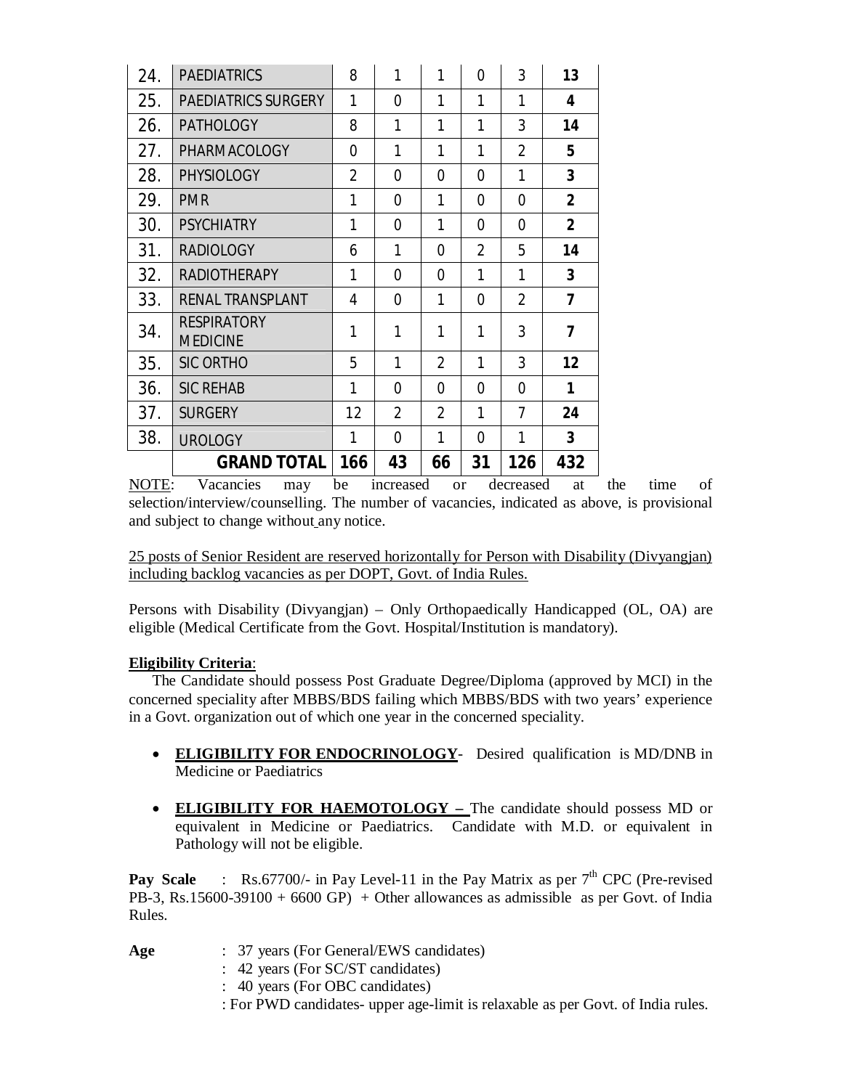| 24. | <b>PAEDIATRICS</b>                    | 8   | 1        | 1              | $\overline{0}$ | 3              | 13             |
|-----|---------------------------------------|-----|----------|----------------|----------------|----------------|----------------|
| 25. | <b>PAEDIATRICS SURGERY</b>            | 1   | $\Omega$ | 1              | 1              | 1              | 4              |
| 26. | <b>PATHOLOGY</b>                      | 8   | 1        | 1              | 1              | 3              | 14             |
| 27. | PHARMACOLOGY                          | 0   | 1        | 1              | 1              | $\overline{2}$ | 5              |
| 28. | <b>PHYSIOLOGY</b>                     | 2   | 0        | 0              | 0              | 1              | 3              |
| 29. | <b>PMR</b>                            | 1   | $\Omega$ | 1              | 0              | $\Omega$       | $\overline{2}$ |
| 30. | <b>PSYCHIATRY</b>                     | 1   | $\Omega$ | 1              | 0              | 0              | $\overline{2}$ |
| 31. | <b>RADIOLOGY</b>                      | 6   | 1        | 0              | $\overline{2}$ | 5              | 14             |
| 32. | <b>RADIOTHERAPY</b>                   | 1   | 0        | $\Omega$       | 1              | 1              | $\overline{3}$ |
| 33. | RENAL TRANSPLANT                      | 4   | $\Omega$ | 1              | 0              | $\overline{2}$ | 7              |
| 34. | <b>RESPIRATORY</b><br><b>MEDICINE</b> | 1   | 1        | 1              | 1              | 3              | 7              |
| 35. | <b>SIC ORTHO</b>                      | 5   | 1        | $\overline{2}$ | 1              | 3              | 12             |
| 36. | <b>SIC REHAB</b>                      | 1   | $\Omega$ | 0              | 0              | 0              | 1              |
| 37. | <b>SURGERY</b>                        | 12  | 2        | $\overline{2}$ | 1              | 7              | 24             |
| 38. | <b>UROLOGY</b>                        | 1   | $\Omega$ | 1              | 0              | 1              | 3              |
|     | <b>GRAND TOTAL</b>                    | 166 | 43       | 66             | 31             | 126            | 432            |

NOTE: Vacancies may be increased or decreased at the time of selection/interview/counselling. The number of vacancies, indicated as above, is provisional and subject to change without any notice.

25 posts of Senior Resident are reserved horizontally for Person with Disability (Divyangjan) including backlog vacancies as per DOPT, Govt. of India Rules.

Persons with Disability (Divyangjan) – Only Orthopaedically Handicapped (OL, OA) are eligible (Medical Certificate from the Govt. Hospital/Institution is mandatory).

## **Eligibility Criteria**:

The Candidate should possess Post Graduate Degree/Diploma (approved by MCI) in the concerned speciality after MBBS/BDS failing which MBBS/BDS with two years' experience in a Govt. organization out of which one year in the concerned speciality.

- **ELIGIBILITY FOR ENDOCRINOLOGY** Desired qualification is MD/DNB in Medicine or Paediatrics
- **ELIGIBILITY FOR HAEMOTOLOGY –** The candidate should possess MD or equivalent in Medicine or Paediatrics. Candidate with M.D. or equivalent in Pathology will not be eligible.

**Pay Scale** : Rs.67700/- in Pay Level-11 in the Pay Matrix as per  $7<sup>th</sup>$  CPC (Pre-revised PB-3, Rs.15600-39100 + 6600 GP) + Other allowances as admissible as per Govt. of India Rules.

- **Age** : 37 years (For General/EWS candidates)
	- : 42 years (For SC/ST candidates)
	- : 40 years (For OBC candidates)
	- : For PWD candidates- upper age-limit is relaxable as per Govt. of India rules.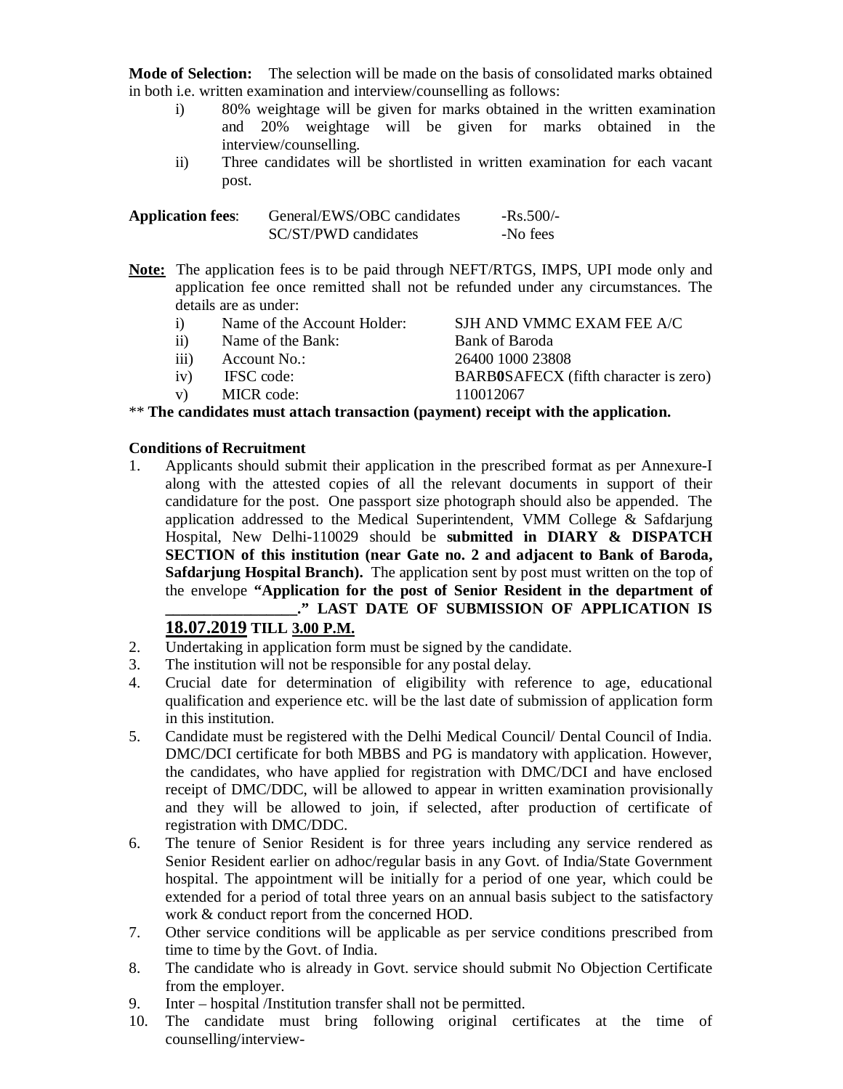**Mode of Selection:** The selection will be made on the basis of consolidated marks obtained in both i.e. written examination and interview/counselling as follows:

- i) 80% weightage will be given for marks obtained in the written examination and 20% weightage will be given for marks obtained in the interview/counselling.
- ii) Three candidates will be shortlisted in written examination for each vacant post.

| <b>Application fees:</b> | General/EWS/OBC candidates | $-Rs.500/-$ |
|--------------------------|----------------------------|-------------|
|                          | SC/ST/PWD candidates       | -No fees    |

**Note:** The application fees is to be paid through NEFT/RTGS, IMPS, UPI mode only and application fee once remitted shall not be refunded under any circumstances. The details are as under:

| $\bf{1)}$                                                                         | Name of the Account Holder: | SJH AND VMMC EXAM FEE A/C                    |  |  |  |
|-----------------------------------------------------------------------------------|-----------------------------|----------------------------------------------|--|--|--|
| $\rm ii)$                                                                         | Name of the Bank:           | Bank of Baroda                               |  |  |  |
| iii)                                                                              | Account No.:                | 26400 1000 23808                             |  |  |  |
| iv)                                                                               | IFSC code:                  | <b>BARBOSAFECX</b> (fifth character is zero) |  |  |  |
| V)                                                                                | MICR code:                  | 110012067                                    |  |  |  |
| ** The candidates must attach transaction (payment) receipt with the application. |                             |                                              |  |  |  |

## **Conditions of Recruitment**

1. Applicants should submit their application in the prescribed format as per Annexure-I along with the attested copies of all the relevant documents in support of their candidature for the post. One passport size photograph should also be appended. The application addressed to the Medical Superintendent, VMM College & Safdarjung Hospital, New Delhi-110029 should be **submitted in DIARY & DISPATCH SECTION of this institution (near Gate no. 2 and adjacent to Bank of Baroda, Safdarjung Hospital Branch).** The application sent by post must written on the top of the envelope **"Application for the post of Senior Resident in the department of \_\_\_\_\_\_\_\_\_\_\_\_\_\_\_\_\_." LAST DATE OF SUBMISSION OF APPLICATION IS**

## **18.07.2019 TILL 3.00 P.M.**

- 2. Undertaking in application form must be signed by the candidate.
- 3. The institution will not be responsible for any postal delay.
- 4. Crucial date for determination of eligibility with reference to age, educational qualification and experience etc. will be the last date of submission of application form in this institution.
- 5. Candidate must be registered with the Delhi Medical Council/ Dental Council of India. DMC/DCI certificate for both MBBS and PG is mandatory with application. However, the candidates, who have applied for registration with DMC/DCI and have enclosed receipt of DMC/DDC, will be allowed to appear in written examination provisionally and they will be allowed to join, if selected, after production of certificate of registration with DMC/DDC.
- 6. The tenure of Senior Resident is for three years including any service rendered as Senior Resident earlier on adhoc/regular basis in any Govt. of India/State Government hospital. The appointment will be initially for a period of one year, which could be extended for a period of total three years on an annual basis subject to the satisfactory work & conduct report from the concerned HOD.
- 7. Other service conditions will be applicable as per service conditions prescribed from time to time by the Govt. of India.
- 8. The candidate who is already in Govt. service should submit No Objection Certificate from the employer.
- 9. Inter hospital /Institution transfer shall not be permitted.
- 10. The candidate must bring following original certificates at the time of counselling/interview-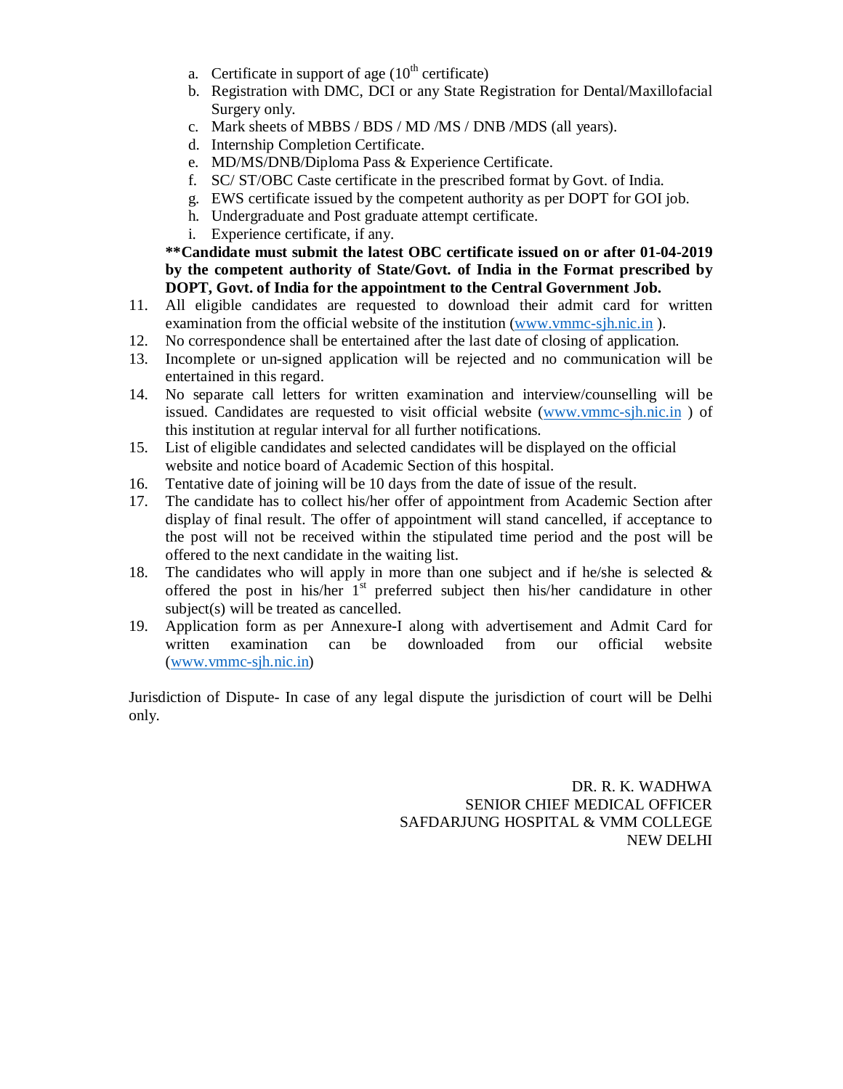- a. Certificate in support of age  $(10<sup>th</sup>$  certificate)
- b. Registration with DMC, DCI or any State Registration for Dental/Maxillofacial Surgery only.
- c. Mark sheets of MBBS / BDS / MD /MS / DNB /MDS (all years).
- d. Internship Completion Certificate.
- e. MD/MS/DNB/Diploma Pass & Experience Certificate.
- f. SC/ ST/OBC Caste certificate in the prescribed format by Govt. of India.
- g. EWS certificate issued by the competent authority as per DOPT for GOI job.
- h. Undergraduate and Post graduate attempt certificate.
- i. Experience certificate, if any.

**\*\*Candidate must submit the latest OBC certificate issued on or after 01-04-2019 by the competent authority of State/Govt. of India in the Format prescribed by DOPT, Govt. of India for the appointment to the Central Government Job.**

- 11. All eligible candidates are requested to download their admit card for written examination from the official website of the institution [\(www.vmmc-sjh.nic.in](http://www.vmmc-sjh.nic.in) ).
- 12. No correspondence shall be entertained after the last date of closing of application.
- 13. Incomplete or un-signed application will be rejected and no communication will be entertained in this regard.
- 14. No separate call letters for written examination and interview/counselling will be issued. Candidates are requested to visit official website ([www.vmmc-sjh.nic.in](http://www.vmmc-sjh.nic.in) ) of this institution at regular interval for all further notifications.
- 15. List of eligible candidates and selected candidates will be displayed on the official website and notice board of Academic Section of this hospital.
- 16. Tentative date of joining will be 10 days from the date of issue of the result.
- 17. The candidate has to collect his/her offer of appointment from Academic Section after display of final result. The offer of appointment will stand cancelled, if acceptance to the post will not be received within the stipulated time period and the post will be offered to the next candidate in the waiting list.
- 18. The candidates who will apply in more than one subject and if he/she is selected  $\&$ offered the post in his/her  $1<sup>st</sup>$  preferred subject then his/her candidature in other subject(s) will be treated as cancelled.
- 19. Application form as per Annexure-I along with advertisement and Admit Card for written examination can be downloaded from our official website ([www.vmmc-sjh.nic.in\)](http://www.vmmc-sjh.nic.in))

Jurisdiction of Dispute- In case of any legal dispute the jurisdiction of court will be Delhi only.

> DR. R. K. WADHWA SENIOR CHIEF MEDICAL OFFICER SAFDARJUNG HOSPITAL & VMM COLLEGE NEW DELHI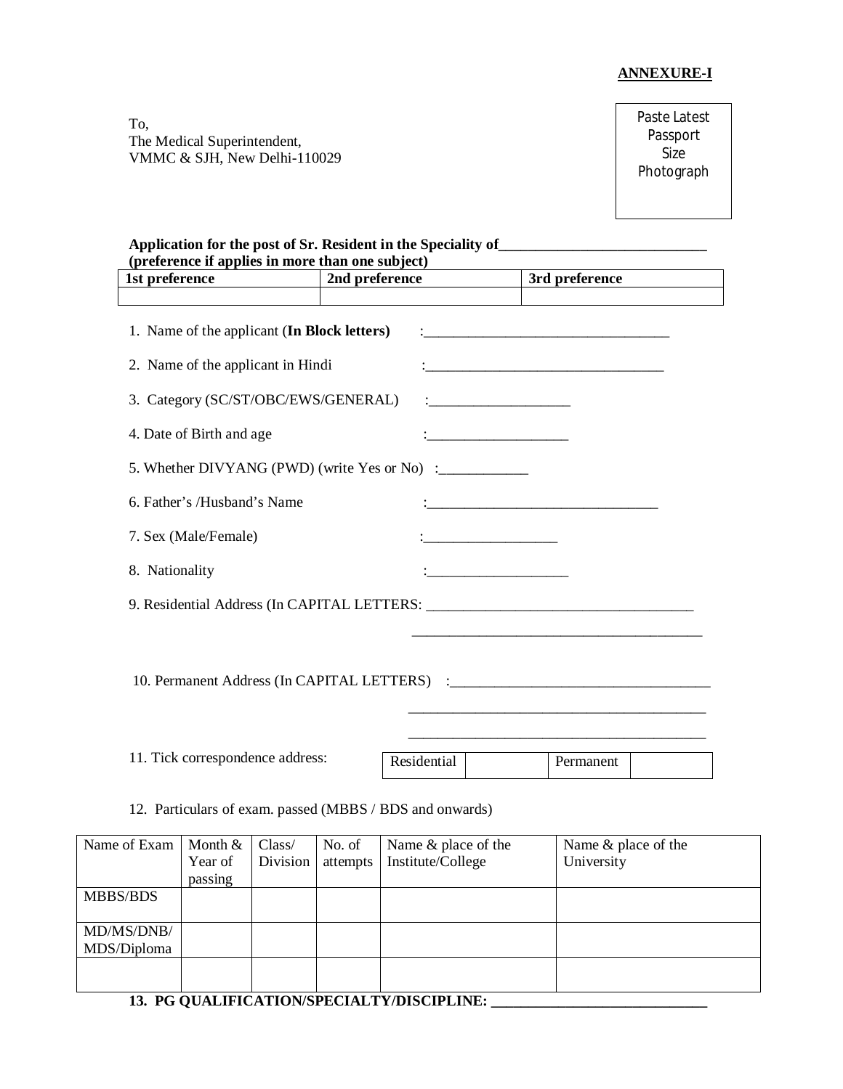### **ANNEXURE-I**

To, The Medical Superintendent, VMMC & SJH, New Delhi-110029 Paste Latest Passport Size Photograph

#### **Application for the post of Sr. Resident in the Speciality of\_\_\_\_\_\_\_\_\_\_\_\_\_\_\_\_\_\_\_\_\_\_\_\_\_\_\_\_ (preference if applies in more than one subject)**

| reference if applies in more than one subject)<br>1st preference | 2nd preference | 3rd preference |  |  |  |  |
|------------------------------------------------------------------|----------------|----------------|--|--|--|--|
|                                                                  |                |                |  |  |  |  |
| 1. Name of the applicant (In Block letters)                      |                |                |  |  |  |  |
| 2. Name of the applicant in Hindi                                |                |                |  |  |  |  |
| 3. Category (SC/ST/OBC/EWS/GENERAL)                              |                |                |  |  |  |  |
| 4. Date of Birth and age                                         |                |                |  |  |  |  |
| 5. Whether DIVYANG (PWD) (write Yes or No) :___________          |                |                |  |  |  |  |
| 6. Father's /Husband's Name                                      |                |                |  |  |  |  |
| 7. Sex (Male/Female)                                             |                |                |  |  |  |  |
| 8. Nationality                                                   |                |                |  |  |  |  |
|                                                                  |                |                |  |  |  |  |
|                                                                  |                |                |  |  |  |  |
|                                                                  |                |                |  |  |  |  |
|                                                                  |                |                |  |  |  |  |
|                                                                  |                |                |  |  |  |  |
| 11. Tick correspondence address:                                 | Residential    | Permanent      |  |  |  |  |

12. Particulars of exam. passed (MBBS / BDS and onwards)

| Name of Exam | Month $&$ | Class/   | No. of   | Name & place of the | Name & place of the |
|--------------|-----------|----------|----------|---------------------|---------------------|
|              | Year of   | Division | attempts | Institute/College   | University          |
|              | passing   |          |          |                     |                     |
| MBBS/BDS     |           |          |          |                     |                     |
|              |           |          |          |                     |                     |
| MD/MS/DNB/   |           |          |          |                     |                     |
| MDS/Diploma  |           |          |          |                     |                     |
|              |           |          |          |                     |                     |
|              |           |          |          |                     |                     |

# **13. PG QUALIFICATION/SPECIALTY/DISCIPLINE: \_\_\_\_\_\_\_\_\_\_\_\_\_\_\_\_\_\_\_\_\_\_\_\_\_\_\_\_\_**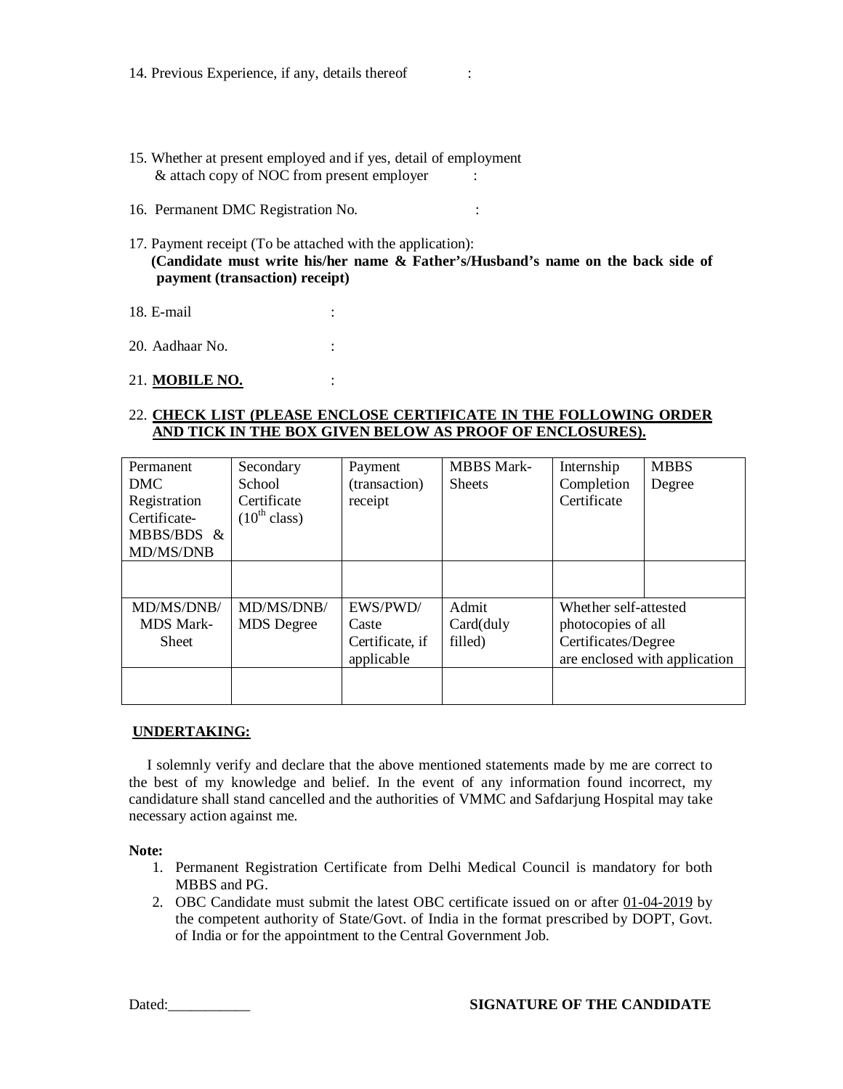- 15. Whether at present employed and if yes, detail of employment & attach copy of NOC from present employer :
- 16. Permanent DMC Registration No. :
- 17. Payment receipt (To be attached with the application): **(Candidate must write his/her name & Father's/Husband's name on the back side of payment (transaction) receipt)**
- 18. E-mail :
- 20. Aadhaar No. :

#### 21. **MOBILE NO.** :

### 22. **CHECK LIST (PLEASE ENCLOSE CERTIFICATE IN THE FOLLOWING ORDER AND TICK IN THE BOX GIVEN BELOW AS PROOF OF ENCLOSURES).**

| Permanent<br>DMC<br>Registration<br>Certificate-<br>MBBS/BDS &<br>MD/MS/DNB | Secondary<br>School<br>Certificate<br>$(10^{th}$ class) | Payment<br>(transaction)<br>receipt                | <b>MBBS</b> Mark-<br><b>Sheets</b> | Internship<br>Completion<br>Certificate                            | <b>MBBS</b><br>Degree         |
|-----------------------------------------------------------------------------|---------------------------------------------------------|----------------------------------------------------|------------------------------------|--------------------------------------------------------------------|-------------------------------|
|                                                                             |                                                         |                                                    |                                    |                                                                    |                               |
| MD/MS/DNB/<br><b>MDS</b> Mark-<br><b>Sheet</b>                              | MD/MS/DNB/<br><b>MDS</b> Degree                         | EWS/PWD/<br>Caste<br>Certificate, if<br>applicable | Admit<br>Card(duly<br>filled)      | Whether self-attested<br>photocopies of all<br>Certificates/Degree | are enclosed with application |
|                                                                             |                                                         |                                                    |                                    |                                                                    |                               |

### **UNDERTAKING:**

I solemnly verify and declare that the above mentioned statements made by me are correct to the best of my knowledge and belief. In the event of any information found incorrect, my candidature shall stand cancelled and the authorities of VMMC and Safdarjung Hospital may take necessary action against me.

**Note:**

- 1. Permanent Registration Certificate from Delhi Medical Council is mandatory for both MBBS and PG.
- 2. OBC Candidate must submit the latest OBC certificate issued on or after 01-04-2019 by the competent authority of State/Govt. of India in the format prescribed by DOPT, Govt. of India or for the appointment to the Central Government Job.